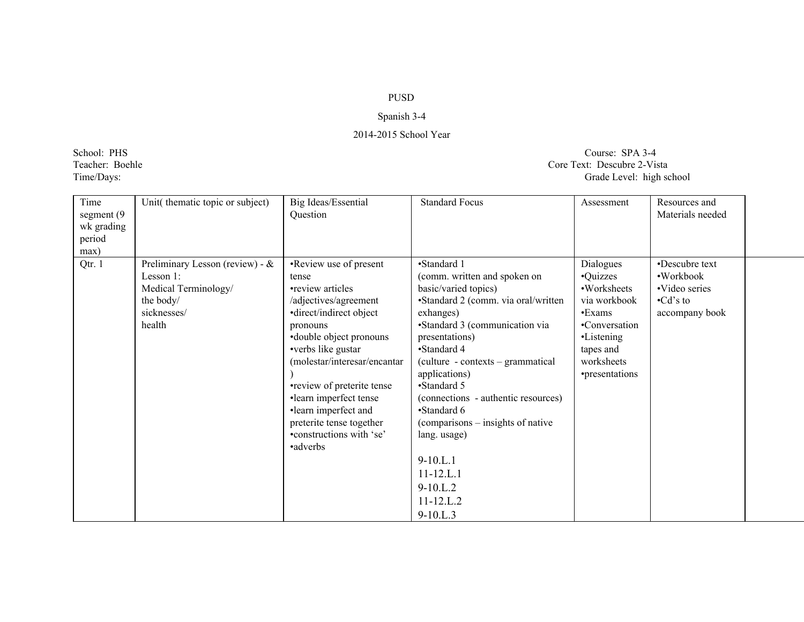## PUSD

## Spanish 3-4

## 2014-2015 School Year

## School: PHS Course: SPA 3-4<br>
Teacher: Boehle Core Text: Descubre 2-Vis Teacher: Boehle Core Text: Descubre 2-Vista<br>
Time/Days: Grade Level: high sc Grade Level: high school

| Time<br>segment (9)<br>wk grading<br>period<br>max) | Unit(thematic topic or subject)                                                                               | Big Ideas/Essential<br>Question                                                                                                                                                                                                                                                                                                                           | <b>Standard Focus</b>                                                                                                                                                                                                                                                                                                                                                                                                                                    | Assessment                                                                                                                                 | Resources and<br>Materials needed                                                 |  |
|-----------------------------------------------------|---------------------------------------------------------------------------------------------------------------|-----------------------------------------------------------------------------------------------------------------------------------------------------------------------------------------------------------------------------------------------------------------------------------------------------------------------------------------------------------|----------------------------------------------------------------------------------------------------------------------------------------------------------------------------------------------------------------------------------------------------------------------------------------------------------------------------------------------------------------------------------------------------------------------------------------------------------|--------------------------------------------------------------------------------------------------------------------------------------------|-----------------------------------------------------------------------------------|--|
| Qtr. 1                                              | Preliminary Lesson (review) - $\&$<br>Lesson 1:<br>Medical Terminology/<br>the body/<br>sicknesses/<br>health | •Review use of present<br>tense<br>•review articles<br>/adjectives/agreement<br>•direct/indirect object<br>pronouns<br>• double object pronouns<br>•verbs like gustar<br>(molestar/interesar/encantar<br>•review of preterite tense<br>·learn imperfect tense<br>·learn imperfect and<br>preterite tense together<br>•constructions with 'se'<br>•adverbs | •Standard 1<br>(comm. written and spoken on<br>basic/varied topics)<br>•Standard 2 (comm. via oral/written<br>exhanges)<br>•Standard 3 (communication via<br>presentations)<br>•Standard 4<br>(culture - contexts – grammatical<br>applications)<br>•Standard 5<br>(connections - authentic resources)<br>•Standard 6<br>(comparisons – insights of native<br>lang. usage)<br>$9-10.L.1$<br>$11 - 12$ .L.1<br>$9-10.L.2$<br>$11 - 12$ .L.2<br>$9-10.L.3$ | Dialogues<br>•Quizzes<br>•Worksheets<br>via workbook<br>•Exams<br>•Conversation<br>•Listening<br>tapes and<br>worksheets<br>•presentations | •Descubre text<br>•Workbook<br>•Video series<br>$\cdot$ Cd's to<br>accompany book |  |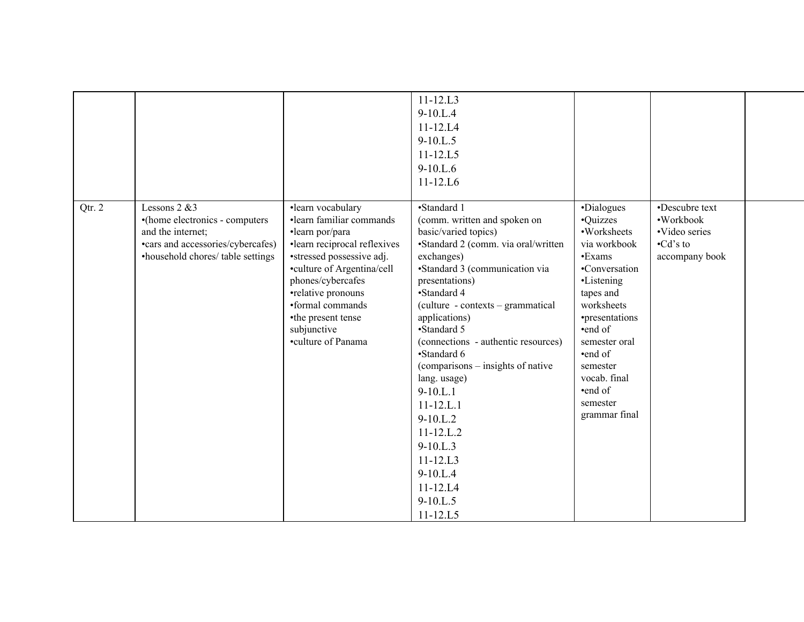|        |                                                                                                                                                   |                                                                                                                                                                                                                                                                                       | $11 - 12.L3$<br>$9-10.L.4$<br>$11 - 12.L4$<br>$9-10.L.5$<br>$11 - 12.L5$<br>$9-10.L.6$<br>$11 - 12.L6$                                                                                                                                                                                                                                                                                                                                                                                                                                  |                                                                                                                                                                                                                                                               |                                                                                   |  |
|--------|---------------------------------------------------------------------------------------------------------------------------------------------------|---------------------------------------------------------------------------------------------------------------------------------------------------------------------------------------------------------------------------------------------------------------------------------------|-----------------------------------------------------------------------------------------------------------------------------------------------------------------------------------------------------------------------------------------------------------------------------------------------------------------------------------------------------------------------------------------------------------------------------------------------------------------------------------------------------------------------------------------|---------------------------------------------------------------------------------------------------------------------------------------------------------------------------------------------------------------------------------------------------------------|-----------------------------------------------------------------------------------|--|
| Qtr. 2 | Lessons $2 \& 3$<br>•(home electronics - computers<br>and the internet;<br>•cars and accessories/cybercafes)<br>•household chores/ table settings | ·learn vocabulary<br>·learn familiar commands<br>·learn por/para<br>·learn reciprocal reflexives<br>•stressed possessive adj.<br>•culture of Argentina/cell<br>phones/cybercafes<br>•relative pronouns<br>•formal commands<br>•the present tense<br>subjunctive<br>•culture of Panama | •Standard 1<br>(comm. written and spoken on<br>basic/varied topics)<br>•Standard 2 (comm. via oral/written<br>exchanges)<br>•Standard 3 (communication via<br>presentations)<br>•Standard 4<br>(culture - contexts - grammatical<br>applications)<br>•Standard 5<br>(connections - authentic resources)<br>•Standard 6<br>(comparisons – insights of native<br>lang. usage)<br>$9-10.L.1$<br>$11 - 12.L.1$<br>$9-10.L.2$<br>$11 - 12$ .L.2<br>$9 - 10.L.3$<br>$11 - 12$ .L3<br>$9-10.L.4$<br>$11 - 12.L4$<br>$9-10.L.5$<br>$11 - 12.L5$ | •Dialogues<br>•Quizzes<br>•Worksheets<br>via workbook<br>$\cdot$ Exams<br>•Conversation<br>•Listening<br>tapes and<br>worksheets<br>•presentations<br>•end of<br>semester oral<br>•end of<br>semester<br>vocab. final<br>•end of<br>semester<br>grammar final | •Descubre text<br>•Workbook<br>•Video series<br>$\cdot$ Cd's to<br>accompany book |  |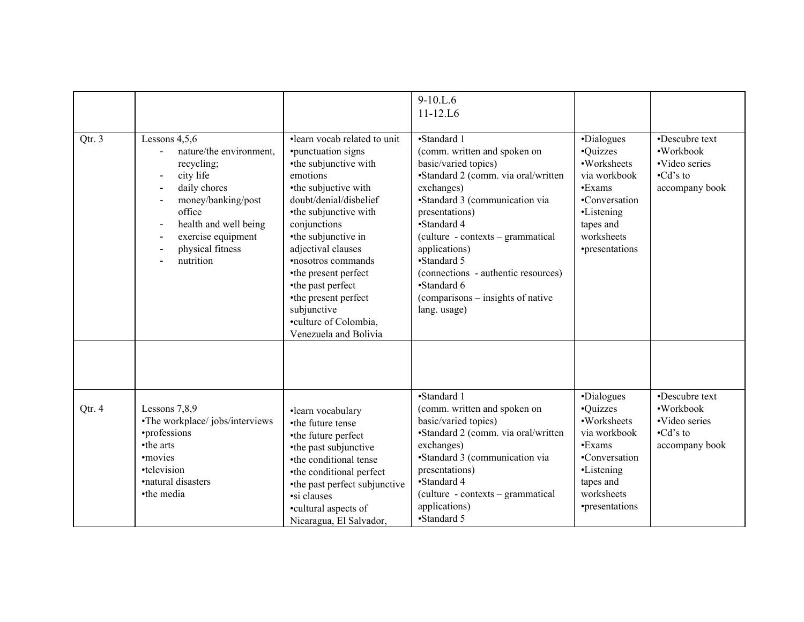|        |                                                                                                                                                                                                       |                                                                                                                                                                                                                                                                                                                                                                                                    | $9-10.L.6$<br>$11 - 12$ .L6                                                                                                                                                                                                                                                                                                                                                 |                                                                                                                                                    |                                                                                   |
|--------|-------------------------------------------------------------------------------------------------------------------------------------------------------------------------------------------------------|----------------------------------------------------------------------------------------------------------------------------------------------------------------------------------------------------------------------------------------------------------------------------------------------------------------------------------------------------------------------------------------------------|-----------------------------------------------------------------------------------------------------------------------------------------------------------------------------------------------------------------------------------------------------------------------------------------------------------------------------------------------------------------------------|----------------------------------------------------------------------------------------------------------------------------------------------------|-----------------------------------------------------------------------------------|
| Qtr. 3 | Lessons $4,5,6$<br>nature/the environment.<br>recycling;<br>city life<br>daily chores<br>money/banking/post<br>office<br>health and well being<br>exercise equipment<br>physical fitness<br>nutrition | •learn vocab related to unit<br>•punctuation signs<br>•the subjunctive with<br>emotions<br>•the subjuctive with<br>doubt/denial/disbelief<br>•the subjunctive with<br>conjunctions<br>•the subjunctive in<br>adjectival clauses<br><b>•nosotros</b> commands<br>•the present perfect<br>•the past perfect<br>•the present perfect<br>subjunctive<br>•culture of Colombia,<br>Venezuela and Bolivia | •Standard 1<br>(comm. written and spoken on<br>basic/varied topics)<br>•Standard 2 (comm. via oral/written<br>exchanges)<br>•Standard 3 (communication via<br>presentations)<br>•Standard 4<br>(culture - contexts – grammatical<br>applications)<br>•Standard 5<br>(connections - authentic resources)<br>•Standard 6<br>(comparisons – insights of native<br>lang. usage) | •Dialogues<br>·Quizzes<br>•Worksheets<br>via workbook<br>•Exams<br>•Conversation<br>•Listening<br>tapes and<br>worksheets<br>•presentations        | •Descubre text<br>·Workbook<br>·Video series<br>$\cdot$ Cd's to<br>accompany book |
| Qtr. 4 | Lessons 7,8,9<br>•The workplace/jobs/interviews<br>•professions<br>•the arts<br>·movies<br>•television<br>·natural disasters<br>•the media                                                            | ·learn vocabulary<br>•the future tense<br>•the future perfect<br>•the past subjunctive<br>•the conditional tense<br>•the conditional perfect<br>•the past perfect subjunctive<br>·si clauses<br>•cultural aspects of<br>Nicaragua, El Salvador,                                                                                                                                                    | •Standard 1<br>(comm. written and spoken on<br>basic/varied topics)<br>•Standard 2 (comm. via oral/written<br>exchanges)<br>•Standard 3 (communication via<br>presentations)<br>•Standard 4<br>(culture - contexts – grammatical<br>applications)<br>•Standard 5                                                                                                            | •Dialogues<br>•Quizzes<br>•Worksheets<br>via workbook<br>$\cdot$ Exams<br>•Conversation<br>•Listening<br>tapes and<br>worksheets<br>•presentations | •Descubre text<br>·Workbook<br>·Video series<br>$\cdot$ Cd's to<br>accompany book |